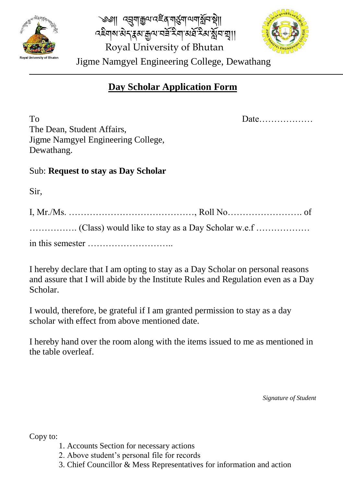

্ড্ডা। দব্র্যাক্কুম্ম বেইন্স্মনুম্বাদ্য মুনিষ্টা। Royal University of Bhutan <u>বইনামাৰ বাৰ্মুখ ক্ৰম আৰু ইয়ামৰ্ষী হয় বিভিন্ন</u>



Jigme Namgyel Engineering College, Dewathang

# **Day Scholar Application Form**

To Date……………… The Dean, Student Affairs, Jigme Namgyel Engineering College, Dewathang.

## Sub: **Request to stay as Day Scholar**

Sir,

I hereby declare that I am opting to stay as a Day Scholar on personal reasons and assure that I will abide by the Institute Rules and Regulation even as a Day Scholar.

I would, therefore, be grateful if I am granted permission to stay as a day scholar with effect from above mentioned date.

I hereby hand over the room along with the items issued to me as mentioned in the table overleaf.

*Signature of Student*

Copy to:

- 1. Accounts Section for necessary actions
- 2. Above student's personal file for records
- 3. Chief Councillor & Mess Representatives for information and action